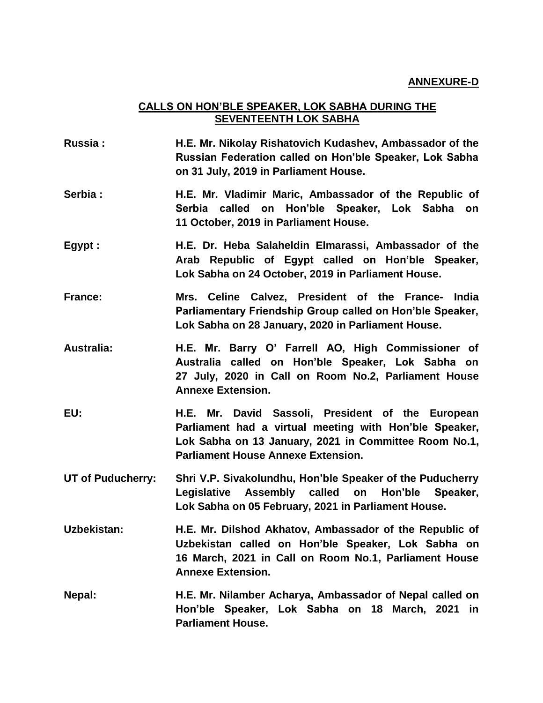## **CALLS ON HON'BLE SPEAKER, LOK SABHA DURING THE SEVENTEENTH LOK SABHA**

**Russia : H.E. Mr. Nikolay Rishatovich Kudashev, Ambassador of the Russian Federation called on Hon'ble Speaker, Lok Sabha on 31 July, 2019 in Parliament House. Serbia : H.E. Mr. Vladimir Maric, Ambassador of the Republic of Serbia called on Hon'ble Speaker, Lok Sabha on 11 October, 2019 in Parliament House. Egypt : H.E. Dr. Heba Salaheldin Elmarassi, Ambassador of the Arab Republic of Egypt called on Hon'ble Speaker, Lok Sabha on 24 October, 2019 in Parliament House. France: Mrs. Celine Calvez, President of the France- India Parliamentary Friendship Group called on Hon'ble Speaker, Lok Sabha on 28 January, 2020 in Parliament House. Australia: H.E. Mr. Barry O' Farrell AO, High Commissioner of Australia called on Hon'ble Speaker, Lok Sabha on 27 July, 2020 in Call on Room No.2, Parliament House Annexe Extension. EU: H.E. Mr. David Sassoli, President of the European Parliament had a virtual meeting with Hon'ble Speaker, Lok Sabha on 13 January, 2021 in Committee Room No.1, Parliament House Annexe Extension. UT of Puducherry: Shri V.P. Sivakolundhu, Hon'ble Speaker of the Puducherry Legislative Assembly called on Hon'ble Speaker, Lok Sabha on 05 February, 2021 in Parliament House. Uzbekistan: H.E. Mr. Dilshod Akhatov, Ambassador of the Republic of Uzbekistan called on Hon'ble Speaker, Lok Sabha on 16 March, 2021 in Call on Room No.1, Parliament House Annexe Extension. Nepal: H.E. Mr. Nilamber Acharya, Ambassador of Nepal called on Hon'ble Speaker, Lok Sabha on 18 March, 2021 in Parliament House.**